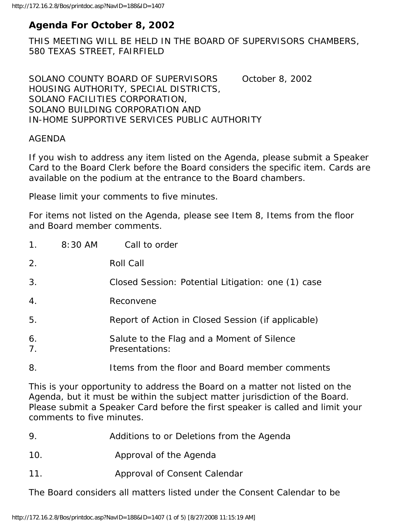# **Agenda For October 8, 2002**

THIS MEETING WILL BE HELD IN THE BOARD OF SUPERVISORS CHAMBERS, 580 TEXAS STREET, FAIRFIELD

SOLANO COUNTY BOARD OF SUPERVISORS October 8, 2002 HOUSING AUTHORITY, SPECIAL DISTRICTS, SOLANO FACILITIES CORPORATION, SOLANO BUILDING CORPORATION AND IN-HOME SUPPORTIVE SERVICES PUBLIC AUTHORITY

#### AGENDA

If you wish to address any item listed on the Agenda, please submit a Speaker Card to the Board Clerk before the Board considers the specific item. Cards are available on the podium at the entrance to the Board chambers.

Please limit your comments to five minutes.

For items not listed on the Agenda, please see Item 8, Items from the floor and Board member comments.

| $1_{\cdot}$          | 8:30 AM | Call to order                                                |
|----------------------|---------|--------------------------------------------------------------|
| 2.                   |         | Roll Call                                                    |
| 3.                   |         | Closed Session: Potential Litigation: one (1) case           |
| 4.                   |         | Reconvene                                                    |
| 5.                   |         | Report of Action in Closed Session (if applicable)           |
| 6.<br>7 <sub>1</sub> |         | Salute to the Flag and a Moment of Silence<br>Presentations: |
| 8.                   |         | Items from the floor and Board member comments               |

This is your opportunity to address the Board on a matter not listed on the Agenda, but it must be within the subject matter jurisdiction of the Board. Please submit a Speaker Card before the first speaker is called and limit your comments to five minutes.

- 9. Additions to or Deletions from the Agenda
- 10. Approval of the Agenda
- 11. Approval of Consent Calendar

The Board considers all matters listed under the Consent Calendar to be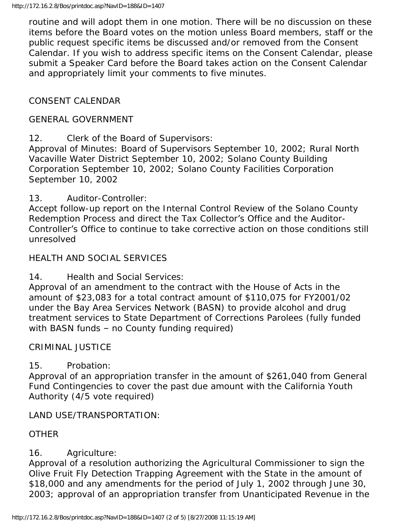routine and will adopt them in one motion. There will be no discussion on these items before the Board votes on the motion unless Board members, staff or the public request specific items be discussed and/or removed from the Consent Calendar. If you wish to address specific items on the Consent Calendar, please submit a Speaker Card before the Board takes action on the Consent Calendar and appropriately limit your comments to five minutes.

# CONSENT CALENDAR

#### GENERAL GOVERNMENT

12. Clerk of the Board of Supervisors:

Approval of Minutes: Board of Supervisors September 10, 2002; Rural North Vacaville Water District September 10, 2002; Solano County Building Corporation September 10, 2002; Solano County Facilities Corporation September 10, 2002

13. Auditor-Controller:

Accept follow-up report on the Internal Control Review of the Solano County Redemption Process and direct the Tax Collector's Office and the Auditor-Controller's Office to continue to take corrective action on those conditions still unresolved

#### HEALTH AND SOCIAL SERVICES

14. Health and Social Services:

Approval of an amendment to the contract with the House of Acts in the amount of \$23,083 for a total contract amount of \$110,075 for FY2001/02 under the Bay Area Services Network (BASN) to provide alcohol and drug treatment services to State Department of Corrections Parolees (fully funded with BASN funds – no County funding required)

## CRIMINAL JUSTICE

## 15. Probation:

Approval of an appropriation transfer in the amount of \$261,040 from General Fund Contingencies to cover the past due amount with the California Youth Authority (4/5 vote required)

#### LAND USE/TRANSPORTATION:

## **OTHER**

## 16. Agriculture:

Approval of a resolution authorizing the Agricultural Commissioner to sign the Olive Fruit Fly Detection Trapping Agreement with the State in the amount of \$18,000 and any amendments for the period of July 1, 2002 through June 30, 2003; approval of an appropriation transfer from Unanticipated Revenue in the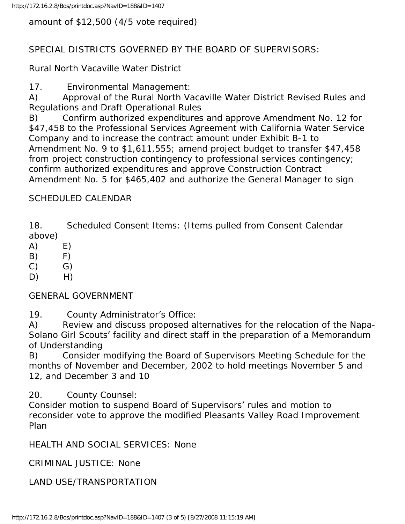amount of \$12,500 (4/5 vote required)

# SPECIAL DISTRICTS GOVERNED BY THE BOARD OF SUPERVISORS:

Rural North Vacaville Water District

17. Environmental Management:

A) Approval of the Rural North Vacaville Water District Revised Rules and Regulations and Draft Operational Rules

B) Confirm authorized expenditures and approve Amendment No. 12 for \$47,458 to the Professional Services Agreement with California Water Service Company and to increase the contract amount under Exhibit B-1 to Amendment No. 9 to \$1,611,555; amend project budget to transfer \$47,458 from project construction contingency to professional services contingency; confirm authorized expenditures and approve Construction Contract Amendment No. 5 for \$465,402 and authorize the General Manager to sign

# SCHEDULED CALENDAR

18. Scheduled Consent Items: (Items pulled from Consent Calendar above)

 $(A)$   $E)$ 

 $(B)$   $F)$ 

 $(C)$   $G)$ 

 $D)$  H)

GENERAL GOVERNMENT

19. County Administrator's Office:

A) Review and discuss proposed alternatives for the relocation of the Napa-Solano Girl Scouts' facility and direct staff in the preparation of a Memorandum of Understanding

B) Consider modifying the Board of Supervisors Meeting Schedule for the months of November and December, 2002 to hold meetings November 5 and 12, and December 3 and 10

20. County Counsel:

Consider motion to suspend Board of Supervisors' rules and motion to reconsider vote to approve the modified Pleasants Valley Road Improvement Plan

HEALTH AND SOCIAL SERVICES: None

CRIMINAL JUSTICE: None

LAND USE/TRANSPORTATION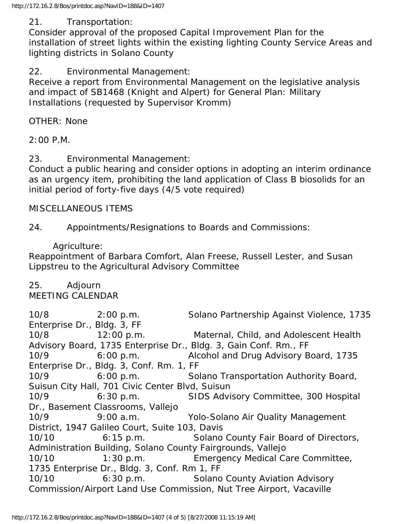#### 21. Transportation:

Consider approval of the proposed Capital Improvement Plan for the installation of street lights within the existing lighting County Service Areas and lighting districts in Solano County

#### 22. Environmental Management:

Receive a report from Environmental Management on the legislative analysis and impact of SB1468 (Knight and Alpert) for General Plan: Military Installations (requested by Supervisor Kromm)

OTHER: None

2:00 P.M.

#### 23. Environmental Management:

Conduct a public hearing and consider options in adopting an interim ordinance as an urgency item, prohibiting the land application of Class B biosolids for an initial period of forty-five days (4/5 vote required)

#### MISCELLANEOUS ITEMS

24. Appointments/Resignations to Boards and Commissions:

#### Agriculture:

Reappointment of Barbara Comfort, Alan Freese, Russell Lester, and Susan Lippstreu to the Agricultural Advisory Committee

25. Adjourn

## MEETING CALENDAR

10/8 2:00 p.m. Solano Partnership Against Violence, 1735 Enterprise Dr., Bldg. 3, FF 10/8 12:00 p.m. Maternal, Child, and Adolescent Health Advisory Board, 1735 Enterprise Dr., Bldg. 3, Gain Conf. Rm., FF 10/9 6:00 p.m. Alcohol and Drug Advisory Board, 1735 Enterprise Dr., Bldg. 3, Conf. Rm. 1, FF 10/9 6:00 p.m. Solano Transportation Authority Board, Suisun City Hall, 701 Civic Center Blvd, Suisun 10/9 6:30 p.m. SIDS Advisory Committee, 300 Hospital Dr., Basement Classrooms, Vallejo 10/9 9:00 a.m. Yolo-Solano Air Quality Management District, 1947 Galileo Court, Suite 103, Davis 10/10 6:15 p.m. Solano County Fair Board of Directors, Administration Building, Solano County Fairgrounds, Vallejo 10/10 1:30 p.m. Emergency Medical Care Committee, 1735 Enterprise Dr., Bldg. 3, Conf. Rm 1, FF 10/10 6:30 p.m. Solano County Aviation Advisory Commission/Airport Land Use Commission, Nut Tree Airport, Vacaville